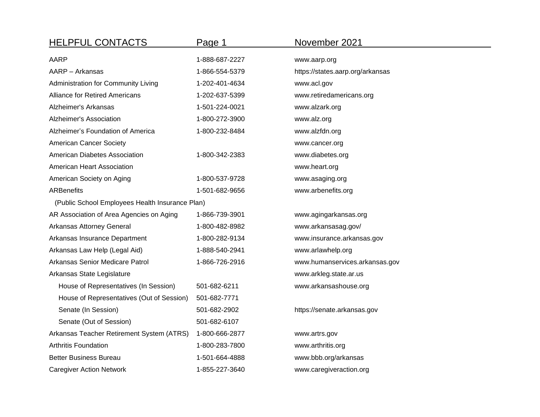| <b>HELPFUL CONTACTS</b>                         | Page 1         | November 2021                    |
|-------------------------------------------------|----------------|----------------------------------|
| <b>AARP</b>                                     | 1-888-687-2227 | www.aarp.org                     |
| AARP - Arkansas                                 | 1-866-554-5379 | https://states.aarp.org/arkansas |
| Administration for Community Living             | 1-202-401-4634 | www.acl.gov                      |
| <b>Alliance for Retired Americans</b>           | 1-202-637-5399 | www.retiredamericans.org         |
| Alzheimer's Arkansas                            | 1-501-224-0021 | www.alzark.org                   |
| <b>Alzheimer's Association</b>                  | 1-800-272-3900 | www.alz.org                      |
| Alzheimer's Foundation of America               | 1-800-232-8484 | www.alzfdn.org                   |
| American Cancer Society                         |                | www.cancer.org                   |
| American Diabetes Association                   | 1-800-342-2383 | www.diabetes.org                 |
| American Heart Association                      |                | www.heart.org                    |
| American Society on Aging                       | 1-800-537-9728 | www.asaging.org                  |
| <b>ARBenefits</b>                               | 1-501-682-9656 | www.arbenefits.org               |
| (Public School Employees Health Insurance Plan) |                |                                  |
| AR Association of Area Agencies on Aging        | 1-866-739-3901 | www.agingarkansas.org            |
| Arkansas Attorney General                       | 1-800-482-8982 | www.arkansasag.gov/              |
| Arkansas Insurance Department                   | 1-800-282-9134 | www.insurance.arkansas.gov       |
| Arkansas Law Help (Legal Aid)                   | 1-888-540-2941 | www.arlawhelp.org                |
| Arkansas Senior Medicare Patrol                 | 1-866-726-2916 | www.humanservices.arkansas.gov   |
| Arkansas State Legislature                      |                | www.arkleg.state.ar.us           |
| House of Representatives (In Session)           | 501-682-6211   | www.arkansashouse.org            |
| House of Representatives (Out of Session)       | 501-682-7771   |                                  |
| Senate (In Session)                             | 501-682-2902   | https://senate.arkansas.gov      |
| Senate (Out of Session)                         | 501-682-6107   |                                  |
| Arkansas Teacher Retirement System (ATRS)       | 1-800-666-2877 | www.artrs.gov                    |
| <b>Arthritis Foundation</b>                     | 1-800-283-7800 | www.arthritis.org                |
| <b>Better Business Bureau</b>                   | 1-501-664-4888 | www.bbb.org/arkansas             |
| <b>Caregiver Action Network</b>                 | 1-855-227-3640 | www.caregiveraction.org          |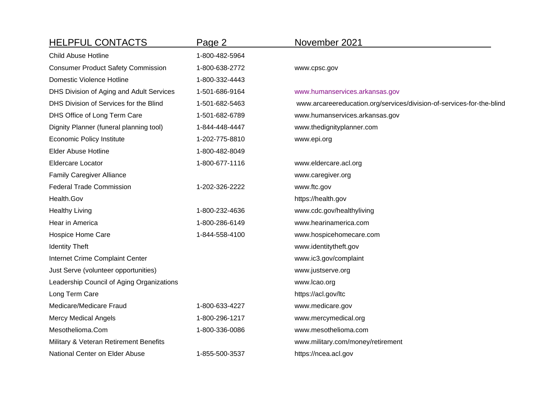| <b>HELPFUL CONTACTS</b>                   | Page 2         | November 2021                                                         |
|-------------------------------------------|----------------|-----------------------------------------------------------------------|
| <b>Child Abuse Hotline</b>                | 1-800-482-5964 |                                                                       |
| <b>Consumer Product Safety Commission</b> | 1-800-638-2772 | www.cpsc.gov                                                          |
| Domestic Violence Hotline                 | 1-800-332-4443 |                                                                       |
| DHS Division of Aging and Adult Services  | 1-501-686-9164 | www.humanservices.arkansas.gov                                        |
| DHS Division of Services for the Blind    | 1-501-682-5463 | www.arcareereducation.org/services/division-of-services-for-the-blind |
| DHS Office of Long Term Care              | 1-501-682-6789 | www.humanservices.arkansas.gov                                        |
| Dignity Planner (funeral planning tool)   | 1-844-448-4447 | www.thedignityplanner.com                                             |
| Economic Policy Institute                 | 1-202-775-8810 | www.epi.org                                                           |
| <b>Elder Abuse Hotline</b>                | 1-800-482-8049 |                                                                       |
| <b>Eldercare Locator</b>                  | 1-800-677-1116 | www.eldercare.acl.org                                                 |
| <b>Family Caregiver Alliance</b>          |                | www.caregiver.org                                                     |
| <b>Federal Trade Commission</b>           | 1-202-326-2222 | www.ftc.gov                                                           |
| Health.Gov                                |                | https://health.gov                                                    |
| <b>Healthy Living</b>                     | 1-800-232-4636 | www.cdc.gov/healthyliving                                             |
| Hear in America                           | 1-800-286-6149 | www.hearinamerica.com                                                 |
| Hospice Home Care                         | 1-844-558-4100 | www.hospicehomecare.com                                               |
| <b>Identity Theft</b>                     |                | www.identitytheft.gov                                                 |
| Internet Crime Complaint Center           |                | www.ic3.gov/complaint                                                 |
| Just Serve (volunteer opportunities)      |                | www.justserve.org                                                     |
| Leadership Council of Aging Organizations |                | www.lcao.org                                                          |
| Long Term Care                            |                | https://acl.gov/ltc                                                   |
| Medicare/Medicare Fraud                   | 1-800-633-4227 | www.medicare.gov                                                      |
| <b>Mercy Medical Angels</b>               | 1-800-296-1217 | www.mercymedical.org                                                  |
| Mesothelioma.Com                          | 1-800-336-0086 | www.mesothelioma.com                                                  |
| Military & Veteran Retirement Benefits    |                | www.military.com/money/retirement                                     |
| National Center on Elder Abuse            | 1-855-500-3537 | https://ncea.acl.gov                                                  |